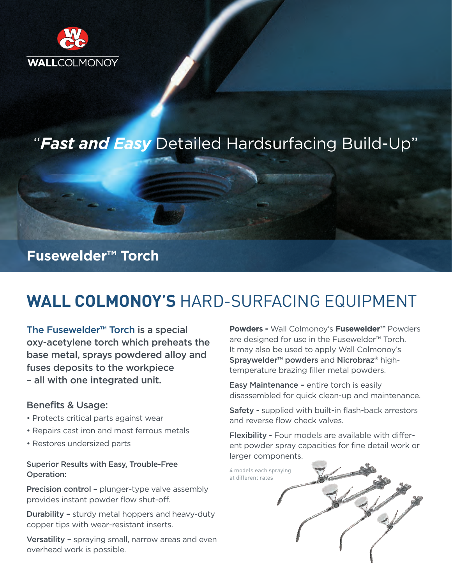

# "*Fast and Easy* Detailed Hardsurfacing Build-Up"

## **Fusewelder™ Torch**

# **WALL COLMONOY'S** HARD-SURFACING EQUIPMENT

The Fusewelder™ Torch is a special oxy-acetylene torch which preheats the base metal, sprays powdered alloy and fuses deposits to the workpiece – all with one integrated unit.

## Benefits & Usage:

- Protects critical parts against wear
- Repairs cast iron and most ferrous metals
- Restores undersized parts

### Superior Results with Easy, Trouble-Free Operation:

Precision control - plunger-type valve assembly provides instant powder flow shut-off.

Durability – sturdy metal hoppers and heavy-duty copper tips with wear-resistant inserts.

Versatility – spraying small, narrow areas and even overhead work is possible.

**Powders -** Wall Colmonoy's **Fusewelder™** Powders are designed for use in the Fusewelder™ Torch. It may also be used to apply Wall Colmonoy's Spraywelder™ powders and Nicrobraz® hightemperature brazing filler metal powders.

Easy Maintenance – entire torch is easily disassembled for quick clean-up and maintenance.

Safety - supplied with built-in flash-back arrestors and reverse flow check valves.

Flexibility - Four models are available with different powder spray capacities for fine detail work or larger components.

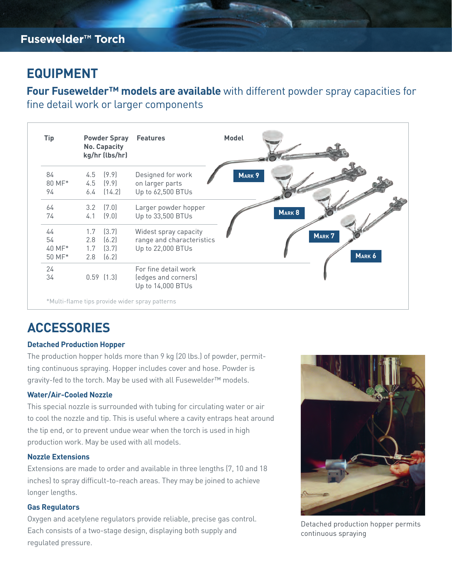## **EQUIPMENT**

**Four Fusewelder™ models are available** with different powder spray capacities for fine detail work or larger components

| Tip    |     | <b>Powder Spray</b><br><b>No. Capacity</b><br>kg/hr (lbs/hr) | <b>Features</b>                          | <b>Model</b> |        |        |
|--------|-----|--------------------------------------------------------------|------------------------------------------|--------------|--------|--------|
| 84     |     | $4.5$ $(9.9)$                                                | Designed for work                        | MARK 9       |        |        |
| 80 MF* | 4.5 | (9.9)                                                        | on larger parts                          |              |        |        |
| 94     | 6.4 | (14.2)                                                       | Up to 62,500 BTUs                        |              |        |        |
| 64     | 3.2 | (7.0)                                                        | Larger powder hopper                     |              |        |        |
| 74     | 4.1 | (9.0)                                                        | Up to 33,500 BTUs                        |              | MARK 8 |        |
| 44     | 1.7 | (3.7)                                                        | Widest spray capacity                    |              |        | MARK 7 |
| 54     | 2.8 | (6.2)                                                        | range and characteristics                |              |        |        |
| 40 MF* | 1.7 | (3.7)                                                        | Up to 22,000 BTUs                        |              |        |        |
| 50 MF* | 2.8 | (6.2)                                                        |                                          |              |        | MARK 6 |
| 24     |     |                                                              | For fine detail work                     |              |        |        |
| 34     |     | $0.59$ $(1.3)$                                               | (edges and corners)<br>Up to 14,000 BTUs |              |        |        |

# **ACCESSORIES**

#### **Detached Production Hopper**

The production hopper holds more than 9 kg (20 lbs.) of powder, permitting continuous spraying. Hopper includes cover and hose. Powder is gravity-fed to the torch. May be used with all Fusewelder™ models.

### **Water/Air-Cooled Nozzle**

This special nozzle is surrounded with tubing for circulating water or air to cool the nozzle and tip. This is useful where a cavity entraps heat around the tip end, or to prevent undue wear when the torch is used in high production work. May be used with all models.

#### **Nozzle Extensions**

Extensions are made to order and available in three lengths (7, 10 and 18 inches) to spray difficult-to-reach areas. They may be joined to achieve longer lengths.

#### **Gas Regulators**

Oxygen and acetylene regulators provide reliable, precise gas control. Each consists of a two-stage design, displaying both supply and regulated pressure.



Detached production hopper permits continuous spraying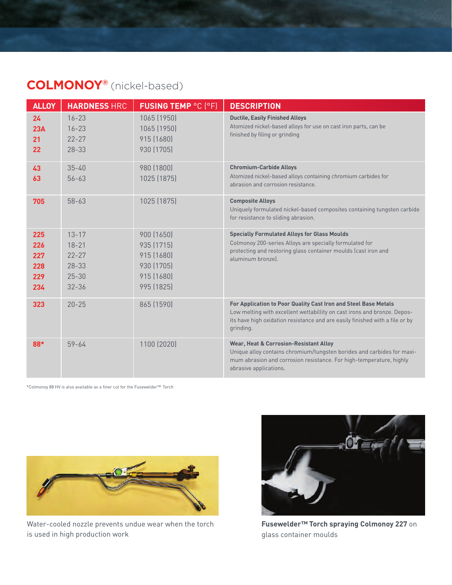## **COLMONOY®** (nickel-based)

| <b>ALLOY</b>                           | <b>HARDNESS HRC</b>                                                        | <b>FUSING TEMP °C (°F)</b>                                                       | <b>DESCRIPTION</b>                                                                                                                                                                                                                       |  |
|----------------------------------------|----------------------------------------------------------------------------|----------------------------------------------------------------------------------|------------------------------------------------------------------------------------------------------------------------------------------------------------------------------------------------------------------------------------------|--|
| 24<br>23A<br>21<br>22                  | $16 - 23$<br>$16 - 23$<br>$22 - 27$<br>$28 - 33$                           | 1065 (1950)<br>1065 (1950)<br>915 (1680)<br>930 (1705)                           | <b>Ductile, Easily Finished Alloys</b><br>Atomized nickel-based alloys for use on cast iron parts, can be<br>finished by filing or grinding                                                                                              |  |
| 43<br>63                               | $35 - 40$<br>$56 - 63$                                                     | 980 (1800)<br>1025 (1875)                                                        | <b>Chromium-Carbide Alloys</b><br>Atomized nickel-based alloys containing chromium carbides for<br>abrasion and corrosion resistance.                                                                                                    |  |
| 705                                    | $58 - 63$                                                                  | 1025 (1875)                                                                      | <b>Composite Alloys</b><br>Uniquely formulated nickel-based composites containing tungsten carbide<br>for resistance to sliding abrasion.                                                                                                |  |
| 225<br>226<br>227<br>228<br>229<br>234 | $13 - 17$<br>$18 - 21$<br>$22 - 27$<br>$28 - 33$<br>$25 - 30$<br>$32 - 36$ | 900 (1650)<br>935 (1715)<br>915 (1680)<br>930 (1705)<br>915 (1680)<br>995 (1825) | <b>Specially Formulated Alloys for Glass Moulds</b><br>Colmonoy 200-series Alloys are specially formulated for<br>protecting and restoring glass container moulds (cast iron and<br>aluminum bronzel.                                    |  |
| 323                                    | $20 - 25$                                                                  | 865 (1590)                                                                       | For Application to Poor Quality Cast Iron and Steel Base Metals<br>Low melting with excellent wettabillity on cast irons and bronze. Depos-<br>its have high oxidation resistance and are easily finished with a file or by<br>grinding. |  |
| 88*                                    | $59 - 64$                                                                  | 1100 (2020)                                                                      | <b>Wear, Heat &amp; Corrosion-Resistant Alloy</b><br>Unique alloy contains chromium/tungsten borides and carbides for maxi-<br>mum abrasion and corrosion resistance. For high-temperature, highly<br>abrasive applications.             |  |

\*Colmonoy 88 HV is also available as a finer cut for the Fusewelder™ Torch



Water-cooled nozzle prevents undue wear when the torch is used in high production work



**Fusewelder™ Torch spraying Colmonoy 227** on glass container moulds